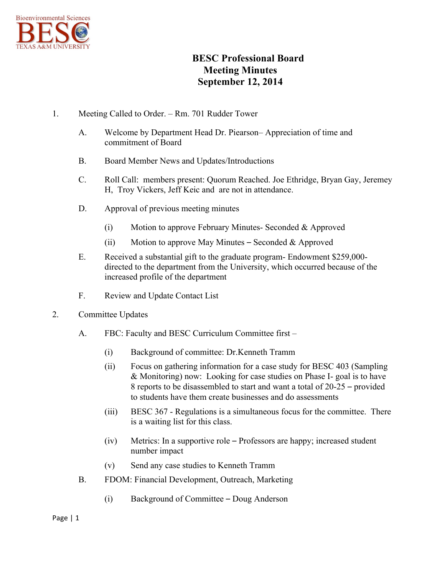

## **BESC Professional Board Meeting Minutes September 12, 2014**

- 1. Meeting Called to Order. Rm. 701 Rudder Tower
	- A. Welcome by Department Head Dr. Piearson– Appreciation of time and commitment of Board
	- B. Board Member News and Updates/Introductions
	- C. Roll Call: members present: Quorum Reached. Joe Ethridge, Bryan Gay, Jeremey H, Troy Vickers, Jeff Keic and are not in attendance.
	- D. Approval of previous meeting minutes
		- (i) Motion to approve February Minutes- Seconded & Approved
		- (ii) Motion to approve May Minutes Seconded & Approved
	- E. Received a substantial gift to the graduate program- Endowment \$259,000 directed to the department from the University, which occurred because of the increased profile of the department
	- F. Review and Update Contact List
- 2. Committee Updates
	- A. FBC: Faculty and BESC Curriculum Committee first
		- (i) Background of committee: Dr.Kenneth Tramm
		- (ii) Focus on gathering information for a case study for BESC 403 (Sampling & Monitoring) now: Looking for case studies on Phase I- goal is to have 8 reports to be disassembled to start and want a total of 20-25 – provided to students have them create businesses and do assessments
		- (iii) BESC 367 Regulations is a simultaneous focus for the committee. There is a waiting list for this class.
		- (iv) Metrics: In a supportive role Professors are happy; increased student number impact
		- (v) Send any case studies to Kenneth Tramm
	- B. FDOM: Financial Development, Outreach, Marketing
		- (i) Background of Committee Doug Anderson

## Page  $|1$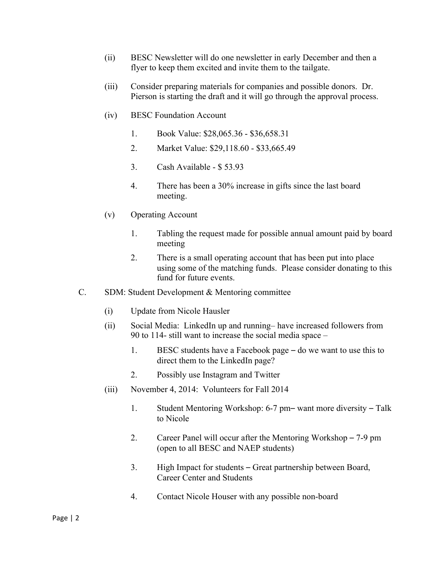- (ii) BESC Newsletter will do one newsletter in early December and then a flyer to keep them excited and invite them to the tailgate.
- (iii) Consider preparing materials for companies and possible donors. Dr. Pierson is starting the draft and it will go through the approval process.
- (iv) BESC Foundation Account
	- 1. Book Value: \$28,065.36 \$36,658.31
	- 2. Market Value: \$29,118.60 \$33,665.49
	- 3. Cash Available \$ 53.93
	- 4. There has been a 30% increase in gifts since the last board meeting.
- (v) Operating Account
	- 1. Tabling the request made for possible annual amount paid by board meeting
	- 2. There is a small operating account that has been put into place using some of the matching funds. Please consider donating to this fund for future events.
- C. SDM: Student Development & Mentoring committee
	- (i) Update from Nicole Hausler
	- (ii) Social Media: LinkedIn up and running– have increased followers from 90 to 114- still want to increase the social media space –
		- 1. BESC students have a Facebook page do we want to use this to direct them to the LinkedIn page?
		- 2. Possibly use Instagram and Twitter
	- (iii) November 4, 2014: Volunteers for Fall 2014
		- 1. Student Mentoring Workshop: 6-7 pm– want more diversity Talk to Nicole
		- 2. Career Panel will occur after the Mentoring Workshop 7-9 pm (open to all BESC and NAEP students)
		- 3. High Impact for students Great partnership between Board, Career Center and Students
		- 4. Contact Nicole Houser with any possible non-board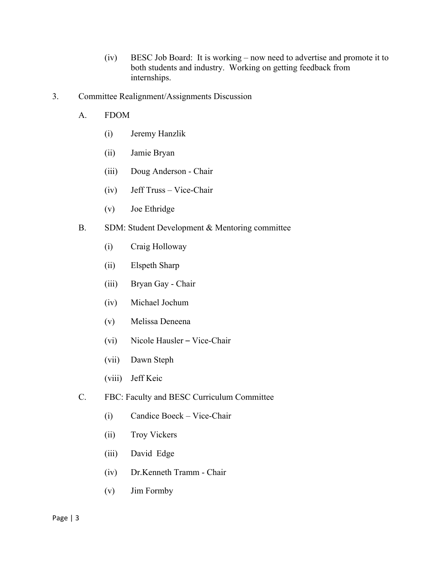- (iv) BESC Job Board: It is working now need to advertise and promote it to both students and industry. Working on getting feedback from internships.
- 3. Committee Realignment/Assignments Discussion
	- A. FDOM
		- (i) Jeremy Hanzlik
		- (ii) Jamie Bryan
		- (iii) Doug Anderson Chair
		- (iv) Jeff Truss Vice-Chair
		- (v) Joe Ethridge
	- B. SDM: Student Development & Mentoring committee
		- (i) Craig Holloway
		- (ii) Elspeth Sharp
		- (iii) Bryan Gay Chair
		- (iv) Michael Jochum
		- (v) Melissa Deneena
		- (vi) Nicole Hausler Vice-Chair
		- (vii) Dawn Steph
		- (viii) Jeff Keic
	- C. FBC: Faculty and BESC Curriculum Committee
		- (i) Candice Boeck Vice-Chair
		- (ii) Troy Vickers
		- (iii) David Edge
		- (iv) Dr.Kenneth Tramm Chair
		- (v) Jim Formby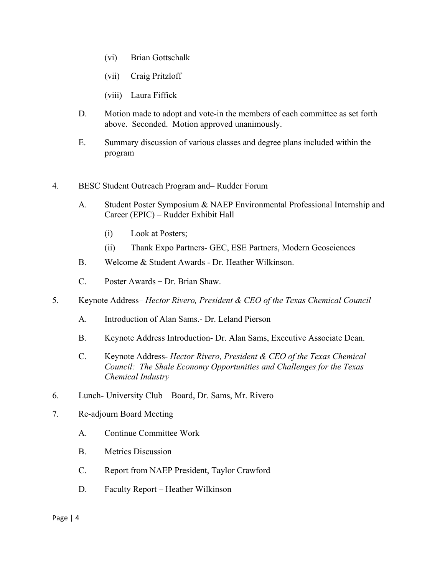- (vi) Brian Gottschalk
- (vii) Craig Pritzloff
- (viii) Laura Fiffick
- D. Motion made to adopt and vote-in the members of each committee as set forth above. Seconded. Motion approved unanimously.
- E. Summary discussion of various classes and degree plans included within the program
- 4. BESC Student Outreach Program and– Rudder Forum
	- A. Student Poster Symposium & NAEP Environmental Professional Internship and Career (EPIC) – Rudder Exhibit Hall
		- (i) Look at Posters;
		- (ii) Thank Expo Partners- GEC, ESE Partners, Modern Geosciences
	- B. Welcome & Student Awards Dr. Heather Wilkinson.
	- C. Poster Awards Dr. Brian Shaw.
- 5. Keynote Address– *Hector Rivero, President & CEO of the Texas Chemical Council*
	- A. Introduction of Alan Sams.- Dr. Leland Pierson
	- B. Keynote Address Introduction- Dr. Alan Sams, Executive Associate Dean.
	- C. Keynote Address- *Hector Rivero, President & CEO of the Texas Chemical Council: The Shale Economy Opportunities and Challenges for the Texas Chemical Industry*
- 6. Lunch- University Club Board, Dr. Sams, Mr. Rivero
- 7. Re-adjourn Board Meeting
	- A. Continue Committee Work
	- B. Metrics Discussion
	- C. Report from NAEP President, Taylor Crawford
	- D. Faculty Report Heather Wilkinson